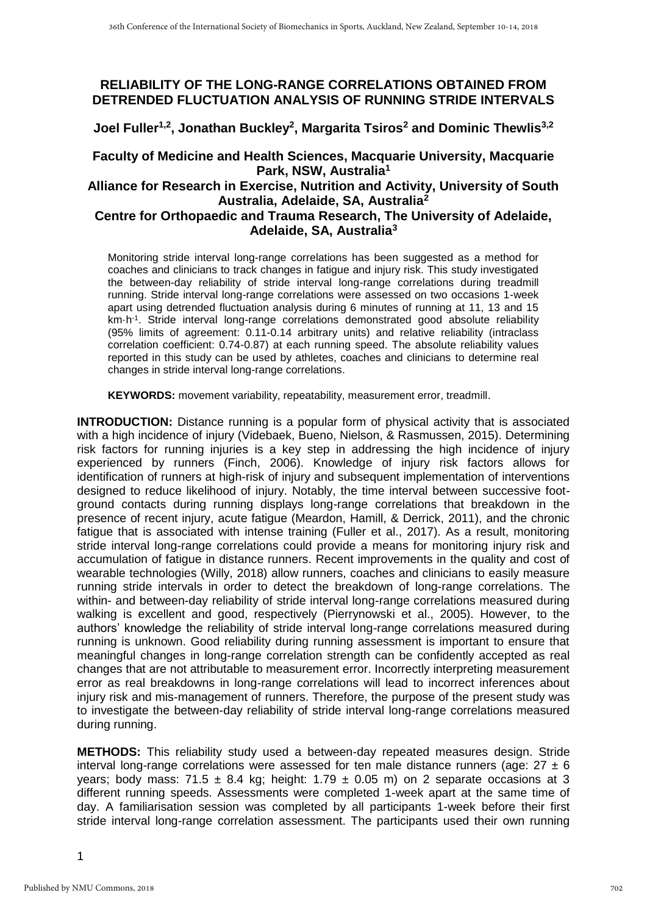# **RELIABILITY OF THE LONG-RANGE CORRELATIONS OBTAINED FROM DETRENDED FLUCTUATION ANALYSIS OF RUNNING STRIDE INTERVALS**

**Joel Fuller1,2, Jonathan Buckley<sup>2</sup> , Margarita Tsiros<sup>2</sup> and Dominic Thewlis3,2**

# **Faculty of Medicine and Health Sciences, Macquarie University, Macquarie Park, NSW, Australia<sup>1</sup>**

### **Alliance for Research in Exercise, Nutrition and Activity, University of South Australia, Adelaide, SA, Australia<sup>2</sup>**

## **Centre for Orthopaedic and Trauma Research, The University of Adelaide, Adelaide, SA, Australia<sup>3</sup>**

Monitoring stride interval long-range correlations has been suggested as a method for coaches and clinicians to track changes in fatigue and injury risk. This study investigated the between-day reliability of stride interval long-range correlations during treadmill running. Stride interval long-range correlations were assessed on two occasions 1-week apart using detrended fluctuation analysis during 6 minutes of running at 11, 13 and 15 km·h<sup>-1</sup>. Stride interval long-range correlations demonstrated good absolute reliability (95% limits of agreement: 0.11-0.14 arbitrary units) and relative reliability (intraclass correlation coefficient: 0.74-0.87) at each running speed. The absolute reliability values reported in this study can be used by athletes, coaches and clinicians to determine real changes in stride interval long-range correlations.

**KEYWORDS:** movement variability, repeatability, measurement error, treadmill.

**INTRODUCTION:** Distance running is a popular form of physical activity that is associated with a high incidence of injury (Videbaek, Bueno, Nielson, & Rasmussen, 2015). Determining risk factors for running injuries is a key step in addressing the high incidence of injury experienced by runners (Finch, 2006). Knowledge of injury risk factors allows for identification of runners at high-risk of injury and subsequent implementation of interventions designed to reduce likelihood of injury. Notably, the time interval between successive footground contacts during running displays long-range correlations that breakdown in the presence of recent injury, acute fatigue (Meardon, Hamill, & Derrick, 2011), and the chronic fatigue that is associated with intense training (Fuller et al., 2017). As a result, monitoring stride interval long-range correlations could provide a means for monitoring injury risk and accumulation of fatigue in distance runners. Recent improvements in the quality and cost of wearable technologies (Willy, 2018) allow runners, coaches and clinicians to easily measure running stride intervals in order to detect the breakdown of long-range correlations. The within- and between-day reliability of stride interval long-range correlations measured during walking is excellent and good, respectively (Pierrynowski et al., 2005). However, to the authors' knowledge the reliability of stride interval long-range correlations measured during running is unknown. Good reliability during running assessment is important to ensure that meaningful changes in long-range correlation strength can be confidently accepted as real changes that are not attributable to measurement error. Incorrectly interpreting measurement error as real breakdowns in long-range correlations will lead to incorrect inferences about injury risk and mis-management of runners. Therefore, the purpose of the present study was to investigate the between-day reliability of stride interval long-range correlations measured during running.

**METHODS:** This reliability study used a between-day repeated measures design. Stride interval long-range correlations were assessed for ten male distance runners (age:  $27 \pm 6$ ) years; body mass; 71.5  $\pm$  8.4 kg; height: 1.79  $\pm$  0.05 m) on 2 separate occasions at 3 different running speeds. Assessments were completed 1-week apart at the same time of day. A familiarisation session was completed by all participants 1-week before their first stride interval long-range correlation assessment. The participants used their own running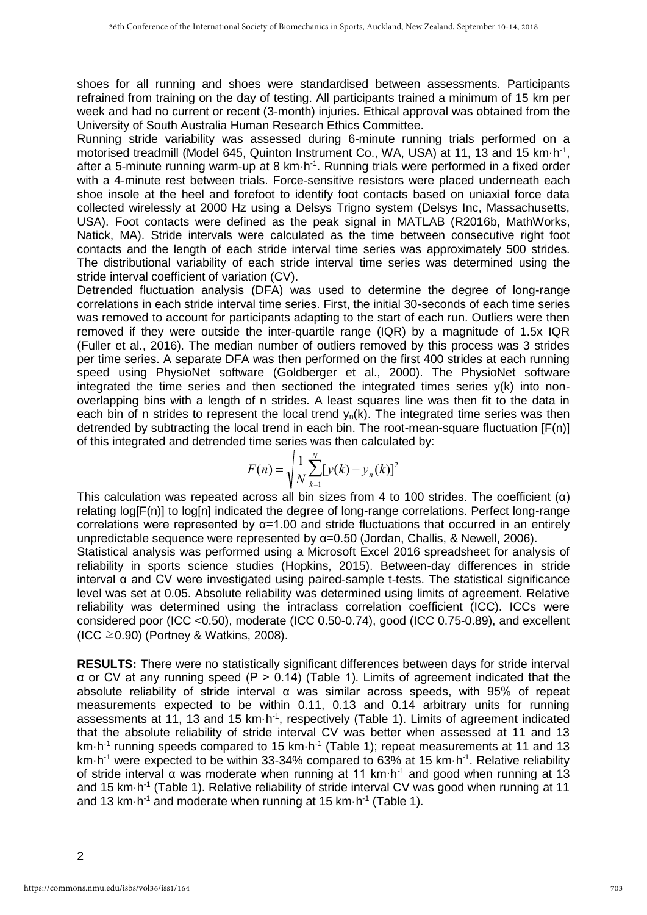shoes for all running and shoes were standardised between assessments. Participants refrained from training on the day of testing. All participants trained a minimum of 15 km per week and had no current or recent (3-month) injuries. Ethical approval was obtained from the University of South Australia Human Research Ethics Committee.

Running stride variability was assessed during 6-minute running trials performed on a motorised treadmill (Model 645, Quinton Instrument Co., WA, USA) at 11, 13 and 15 km·h<sup>-1</sup>, after a 5-minute running warm-up at 8 km·h<sup>-1</sup>. Running trials were performed in a fixed order with a 4-minute rest between trials. Force-sensitive resistors were placed underneath each shoe insole at the heel and forefoot to identify foot contacts based on uniaxial force data collected wirelessly at 2000 Hz using a Delsys Trigno system (Delsys Inc, Massachusetts, USA). Foot contacts were defined as the peak signal in MATLAB (R2016b, MathWorks, Natick, MA). Stride intervals were calculated as the time between consecutive right foot contacts and the length of each stride interval time series was approximately 500 strides. The distributional variability of each stride interval time series was determined using the stride interval coefficient of variation (CV).

Detrended fluctuation analysis (DFA) was used to determine the degree of long-range correlations in each stride interval time series. First, the initial 30-seconds of each time series was removed to account for participants adapting to the start of each run. Outliers were then removed if they were outside the inter-quartile range (IQR) by a magnitude of 1.5x IQR (Fuller et al., 2016). The median number of outliers removed by this process was 3 strides per time series. A separate DFA was then performed on the first 400 strides at each running speed using PhysioNet software (Goldberger et al., 2000). The PhysioNet software integrated the time series and then sectioned the integrated times series y(k) into nonoverlapping bins with a length of n strides. A least squares line was then fit to the data in each bin of n strides to represent the local trend  $v<sub>n</sub>(k)$ . The integrated time series was then detrended by subtracting the local trend in each bin. The root-mean-square fluctuation [F(n)] of this integrated and detrended time series was then calculated by:

$$
F(n) = \sqrt{\frac{1}{N} \sum_{k=1}^{N} [y(k) - y_n(k)]^2}
$$

 unpredictable sequence were represented by α=0.50 (Jordan, Challis, & Newell, 2006). This calculation was repeated across all bin sizes from 4 to 100 strides. The coefficient  $(\alpha)$ relating log[F(n)] to log[n] indicated the degree of long-range correlations. Perfect long-range correlations were represented by  $\alpha$ =1.00 and stride fluctuations that occurred in an entirely

Statistical analysis was performed using a Microsoft Excel 2016 spreadsheet for analysis of reliability in sports science studies (Hopkins, 2015). Between-day differences in stride interval  $α$  and  $CV$  were investigated using paired-sample t-tests. The statistical significance level was set at 0.05. Absolute reliability was determined using limits of agreement. Relative reliability was determined using the intraclass correlation coefficient (ICC). ICCs were considered poor (ICC <0.50), moderate (ICC 0.50-0.74), good (ICC 0.75-0.89), and excellent (ICC  $\geq$ 0.90) (Portney & Watkins, 2008).

**RESULTS:** There were no statistically significant differences between days for stride interval α or CV at any running speed (P > 0.14) (Table 1). Limits of agreement indicated that the absolute reliability of stride interval α was similar across speeds, with 95% of repeat measurements expected to be within 0.11, 0.13 and 0.14 arbitrary units for running assessments at 11, 13 and 15  $km \cdot h^{-1}$ , respectively (Table 1). Limits of agreement indicated that the absolute reliability of stride interval CV was better when assessed at 11 and 13 km·h<sup>-1</sup> running speeds compared to 15 km·h<sup>-1</sup> (Table 1); repeat measurements at 11 and 13 km $\cdot$ h<sup>-1</sup> were expected to be within 33-34% compared to 63% at 15 km $\cdot$ h<sup>-1</sup>. Relative reliability of stride interval α was moderate when running at 11 km·h-1 and good when running at 13 and 15 km·h<sup>-1</sup> (Table 1). Relative reliability of stride interval CV was good when running at 11 and 13 km·h<sup>-1</sup> and moderate when running at 15 km·h<sup>-1</sup> (Table 1).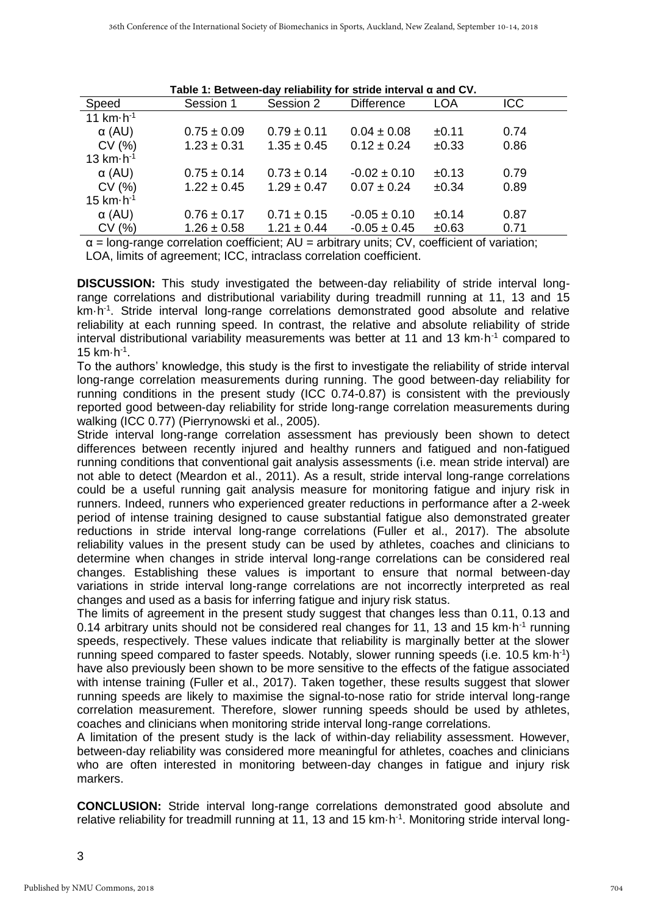| Speed                | Session 1       | Session 2       | <b>Difference</b> | LOA        | <b>ICC</b> |
|----------------------|-----------------|-----------------|-------------------|------------|------------|
| 11 $km \cdot h^{-1}$ |                 |                 |                   |            |            |
| $\alpha$ (AU)        | $0.75 \pm 0.09$ | $0.79 \pm 0.11$ | $0.04 \pm 0.08$   | ±0.11      | 0.74       |
| CV(%)                | $1.23 \pm 0.31$ | $1.35 \pm 0.45$ | $0.12 \pm 0.24$   | $\pm 0.33$ | 0.86       |
| 13 $km·h-1$          |                 |                 |                   |            |            |
| $\alpha$ (AU)        | $0.75 \pm 0.14$ | $0.73 \pm 0.14$ | $-0.02 \pm 0.10$  | ±0.13      | 0.79       |
| CV(%)                | $1.22 \pm 0.45$ | $1.29 \pm 0.47$ | $0.07 \pm 0.24$   | ±0.34      | 0.89       |
| $15 km·h-1$          |                 |                 |                   |            |            |
| $\alpha$ (AU)        | $0.76 \pm 0.17$ | $0.71 \pm 0.15$ | $-0.05 \pm 0.10$  | $\pm 0.14$ | 0.87       |
| CV(%)                | $1.26 \pm 0.58$ | $1.21 \pm 0.44$ | $-0.05 \pm 0.45$  | ±0.63      | 0.71       |
|                      | .               |                 | .                 | .          | .          |

**Table 1: Between-day reliability for stride interval α and CV.**

 $\alpha$  = long-range correlation coefficient; AU = arbitrary units; CV, coefficient of variation; LOA, limits of agreement; ICC, intraclass correlation coefficient.

**DISCUSSION:** This study investigated the between-day reliability of stride interval longrange correlations and distributional variability during treadmill running at 11, 13 and 15 km·h<sup>-1</sup>. Stride interval long-range correlations demonstrated good absolute and relative reliability at each running speed. In contrast, the relative and absolute reliability of stride interval distributional variability measurements was better at 11 and 13  $km \cdot h^{-1}$  compared to 15  $km·h<sup>-1</sup>$ .

To the authors' knowledge, this study is the first to investigate the reliability of stride interval long-range correlation measurements during running. The good between-day reliability for running conditions in the present study (ICC 0.74-0.87) is consistent with the previously reported good between-day reliability for stride long-range correlation measurements during walking (ICC 0.77) (Pierrynowski et al., 2005).

Stride interval long-range correlation assessment has previously been shown to detect differences between recently injured and healthy runners and fatigued and non-fatigued running conditions that conventional gait analysis assessments (i.e. mean stride interval) are not able to detect (Meardon et al., 2011). As a result, stride interval long-range correlations could be a useful running gait analysis measure for monitoring fatigue and injury risk in runners. Indeed, runners who experienced greater reductions in performance after a 2-week period of intense training designed to cause substantial fatigue also demonstrated greater reductions in stride interval long-range correlations (Fuller et al., 2017). The absolute reliability values in the present study can be used by athletes, coaches and clinicians to determine when changes in stride interval long-range correlations can be considered real changes. Establishing these values is important to ensure that normal between-day variations in stride interval long-range correlations are not incorrectly interpreted as real changes and used as a basis for inferring fatigue and injury risk status.

The limits of agreement in the present study suggest that changes less than 0.11, 0.13 and 0.14 arbitrary units should not be considered real changes for 11, 13 and 15  $km \cdot h^{-1}$  running speeds, respectively. These values indicate that reliability is marginally better at the slower running speed compared to faster speeds. Notably, slower running speeds (i.e. 10.5  $km \cdot h^{-1}$ ) have also previously been shown to be more sensitive to the effects of the fatigue associated with intense training (Fuller et al., 2017). Taken together, these results suggest that slower running speeds are likely to maximise the signal-to-nose ratio for stride interval long-range correlation measurement. Therefore, slower running speeds should be used by athletes, coaches and clinicians when monitoring stride interval long-range correlations.

A limitation of the present study is the lack of within-day reliability assessment. However, between-day reliability was considered more meaningful for athletes, coaches and clinicians who are often interested in monitoring between-day changes in fatigue and injury risk markers.

**CONCLUSION:** Stride interval long-range correlations demonstrated good absolute and relative reliability for treadmill running at 11, 13 and 15 km·h<sup>-1</sup>. Monitoring stride interval long